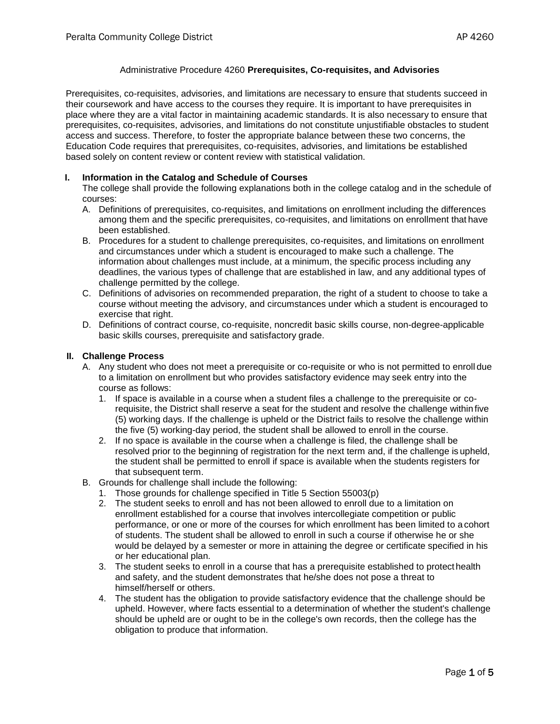## Administrative Procedure 4260 **Prerequisites, Co-requisites, and Advisories**

Prerequisites, co-requisites, advisories, and limitations are necessary to ensure that students succeed in their coursework and have access to the courses they require. It is important to have prerequisites in place where they are a vital factor in maintaining academic standards. It is also necessary to ensure that prerequisites, co-requisites, advisories, and limitations do not constitute unjustifiable obstacles to student access and success. Therefore, to foster the appropriate balance between these two concerns, the Education Code requires that prerequisites, co-requisites, advisories, and limitations be established based solely on content review or content review with statistical validation.

#### **I. Information in the Catalog and Schedule of Courses**

The college shall provide the following explanations both in the college catalog and in the schedule of courses:

- A. Definitions of prerequisites, co-requisites, and limitations on enrollment including the differences among them and the specific prerequisites, co-requisites, and limitations on enrollment that have been established.
- B. Procedures for a student to challenge prerequisites, co-requisites, and limitations on enrollment and circumstances under which a student is encouraged to make such a challenge. The information about challenges must include, at a minimum, the specific process including any deadlines, the various types of challenge that are established in law, and any additional types of challenge permitted by the college.
- C. Definitions of advisories on recommended preparation, the right of a student to choose to take a course without meeting the advisory, and circumstances under which a student is encouraged to exercise that right.
- D. Definitions of contract course, co-requisite, noncredit basic skills course, non-degree-applicable basic skills courses, prerequisite and satisfactory grade.

#### **II. Challenge Process**

- A. Any student who does not meet a prerequisite or co-requisite or who is not permitted to enroll due to a limitation on enrollment but who provides satisfactory evidence may seek entry into the course as follows:
	- 1. If space is available in a course when a student files a challenge to the prerequisite or corequisite, the District shall reserve a seat for the student and resolve the challenge within five (5) working days. If the challenge is upheld or the District fails to resolve the challenge within the five (5) working-day period, the student shall be allowed to enroll in the course.
	- 2. If no space is available in the course when a challenge is filed, the challenge shall be resolved prior to the beginning of registration for the next term and, if the challenge is upheld, the student shall be permitted to enroll if space is available when the students registers for that subsequent term.
- B. Grounds for challenge shall include the following:
	- 1. Those grounds for challenge specified in Title 5 Section 55003(p)
	- 2. The student seeks to enroll and has not been allowed to enroll due to a limitation on enrollment established for a course that involves intercollegiate competition or public performance, or one or more of the courses for which enrollment has been limited to a cohort of students. The student shall be allowed to enroll in such a course if otherwise he or she would be delayed by a semester or more in attaining the degree or certificate specified in his or her educational plan.
	- 3. The student seeks to enroll in a course that has a prerequisite established to protecthealth and safety, and the student demonstrates that he/she does not pose a threat to himself/herself or others.
	- 4. The student has the obligation to provide satisfactory evidence that the challenge should be upheld. However, where facts essential to a determination of whether the student's challenge should be upheld are or ought to be in the college's own records, then the college has the obligation to produce that information.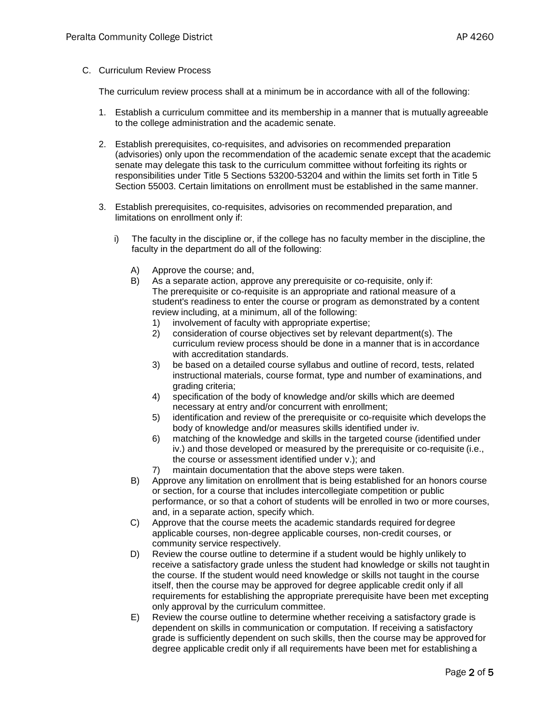## C. Curriculum Review Process

The curriculum review process shall at a minimum be in accordance with all of the following:

- 1. Establish a curriculum committee and its membership in a manner that is mutually agreeable to the college administration and the academic senate.
- 2. Establish prerequisites, co-requisites, and advisories on recommended preparation (advisories) only upon the recommendation of the academic senate except that the academic senate may delegate this task to the curriculum committee without forfeiting its rights or responsibilities under Title 5 Sections 53200-53204 and within the limits set forth in Title 5 Section 55003. Certain limitations on enrollment must be established in the same manner.
- 3. Establish prerequisites, co-requisites, advisories on recommended preparation, and limitations on enrollment only if:
	- i) The faculty in the discipline or, if the college has no faculty member in the discipline, the faculty in the department do all of the following:
		- A) Approve the course; and,
		- B) As a separate action, approve any prerequisite or co-requisite, only if: The prerequisite or co-requisite is an appropriate and rational measure of a student's readiness to enter the course or program as demonstrated by a content review including, at a minimum, all of the following:
			- 1) involvement of faculty with appropriate expertise;
			- 2) consideration of course objectives set by relevant department(s). The curriculum review process should be done in a manner that is in accordance with accreditation standards.
			- 3) be based on a detailed course syllabus and outline of record, tests, related instructional materials, course format, type and number of examinations, and grading criteria;
			- 4) specification of the body of knowledge and/or skills which are deemed necessary at entry and/or concurrent with enrollment;
			- 5) identification and review of the prerequisite or co-requisite which develops the body of knowledge and/or measures skills identified under iv.
			- 6) matching of the knowledge and skills in the targeted course (identified under iv.) and those developed or measured by the prerequisite or co-requisite (i.e., the course or assessment identified under v.); and
			- 7) maintain documentation that the above steps were taken.
		- B) Approve any limitation on enrollment that is being established for an honors course or section, for a course that includes intercollegiate competition or public performance, or so that a cohort of students will be enrolled in two or more courses, and, in a separate action, specify which.
		- C) Approve that the course meets the academic standards required for degree applicable courses, non-degree applicable courses, non-credit courses, or community service respectively.
		- D) Review the course outline to determine if a student would be highly unlikely to receive a satisfactory grade unless the student had knowledge or skills not taught in the course. If the student would need knowledge or skills not taught in the course itself, then the course may be approved for degree applicable credit only if all requirements for establishing the appropriate prerequisite have been met excepting only approval by the curriculum committee.
		- E) Review the course outline to determine whether receiving a satisfactory grade is dependent on skills in communication or computation. If receiving a satisfactory grade is sufficiently dependent on such skills, then the course may be approved for degree applicable credit only if all requirements have been met for establishing a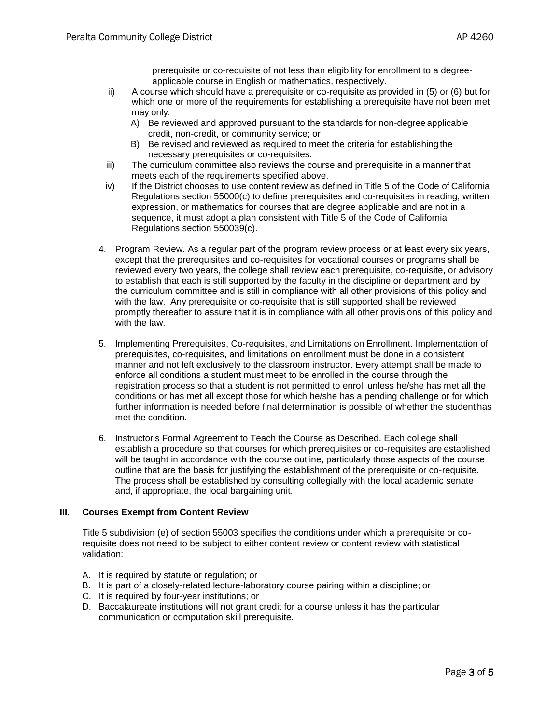prerequisite or co-requisite of not less than eligibility for enrollment to a degreeapplicable course in English or mathematics, respectively.

- ii) A course which should have a prerequisite or co-requisite as provided in (5) or (6) but for which one or more of the requirements for establishing a prerequisite have not been met may only:
	- A) Be reviewed and approved pursuant to the standards for non-degree applicable credit, non-credit, or community service; or
	- B) Be revised and reviewed as required to meet the criteria for establishing the necessary prerequisites or co-requisites.
- iii) The curriculum committee also reviews the course and prerequisite in a manner that meets each of the requirements specified above.
- iv) If the District chooses to use content review as defined in Title 5 of the Code of California Regulations section 55000(c) to define prerequisites and co-requisites in reading, written expression, or mathematics for courses that are degree applicable and are not in a sequence, it must adopt a plan consistent with Title 5 of the Code of California Regulations section 550039(c).
- 4. Program Review. As a regular part of the program review process or at least every six years, except that the prerequisites and co-requisites for vocational courses or programs shall be reviewed every two years, the college shall review each prerequisite, co-requisite, or advisory to establish that each is still supported by the faculty in the discipline or department and by the curriculum committee and is still in compliance with all other provisions of this policy and with the law. Any prerequisite or co-requisite that is still supported shall be reviewed promptly thereafter to assure that it is in compliance with all other provisions of this policy and with the law.
- 5. Implementing Prerequisites, Co-requisites, and Limitations on Enrollment. Implementation of prerequisites, co-requisites, and limitations on enrollment must be done in a consistent manner and not left exclusively to the classroom instructor. Every attempt shall be made to enforce all conditions a student must meet to be enrolled in the course through the registration process so that a student is not permitted to enroll unless he/she has met all the conditions or has met all except those for which he/she has a pending challenge or for which further information is needed before final determination is possible of whether the student has met the condition.
- 6. Instructor's Formal Agreement to Teach the Course as Described. Each college shall establish a procedure so that courses for which prerequisites or co-requisites are established will be taught in accordance with the course outline, particularly those aspects of the course outline that are the basis for justifying the establishment of the prerequisite or co-requisite. The process shall be established by consulting collegially with the local academic senate and, if appropriate, the local bargaining unit.

# **III. Courses Exempt from Content Review**

Title 5 subdivision (e) of section 55003 specifies the conditions under which a prerequisite or corequisite does not need to be subject to either content review or content review with statistical validation:

- A. It is required by statute or regulation; or
- B. It is part of a closely-related lecture-laboratory course pairing within a discipline; or
- C. It is required by four-year institutions; or
- D. Baccalaureate institutions will not grant credit for a course unless it has the particular communication or computation skill prerequisite.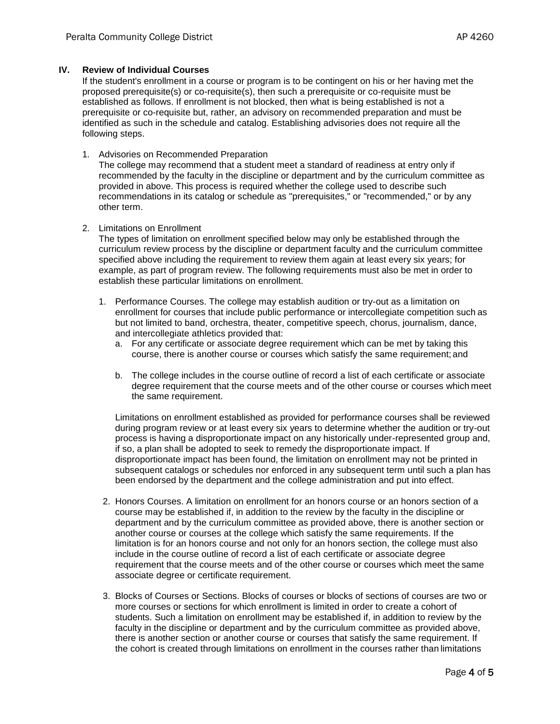## **IV. Review of Individual Courses**

If the student's enrollment in a course or program is to be contingent on his or her having met the proposed prerequisite(s) or co-requisite(s), then such a prerequisite or co-requisite must be established as follows. If enrollment is not blocked, then what is being established is not a prerequisite or co-requisite but, rather, an advisory on recommended preparation and must be identified as such in the schedule and catalog. Establishing advisories does not require all the following steps.

1. Advisories on Recommended Preparation

The college may recommend that a student meet a standard of readiness at entry only if recommended by the faculty in the discipline or department and by the curriculum committee as provided in above. This process is required whether the college used to describe such recommendations in its catalog or schedule as "prerequisites," or "recommended," or by any other term.

2. Limitations on Enrollment

The types of limitation on enrollment specified below may only be established through the curriculum review process by the discipline or department faculty and the curriculum committee specified above including the requirement to review them again at least every six years; for example, as part of program review. The following requirements must also be met in order to establish these particular limitations on enrollment.

- 1. Performance Courses. The college may establish audition or try-out as a limitation on enrollment for courses that include public performance or intercollegiate competition such as but not limited to band, orchestra, theater, competitive speech, chorus, journalism, dance, and intercollegiate athletics provided that:
	- a. For any certificate or associate degree requirement which can be met by taking this course, there is another course or courses which satisfy the same requirement; and
	- b. The college includes in the course outline of record a list of each certificate or associate degree requirement that the course meets and of the other course or courses which meet the same requirement.

Limitations on enrollment established as provided for performance courses shall be reviewed during program review or at least every six years to determine whether the audition or try-out process is having a disproportionate impact on any historically under-represented group and, if so, a plan shall be adopted to seek to remedy the disproportionate impact. If disproportionate impact has been found, the limitation on enrollment may not be printed in subsequent catalogs or schedules nor enforced in any subsequent term until such a plan has been endorsed by the department and the college administration and put into effect.

- 2. Honors Courses. A limitation on enrollment for an honors course or an honors section of a course may be established if, in addition to the review by the faculty in the discipline or department and by the curriculum committee as provided above, there is another section or another course or courses at the college which satisfy the same requirements. If the limitation is for an honors course and not only for an honors section, the college must also include in the course outline of record a list of each certificate or associate degree requirement that the course meets and of the other course or courses which meet the same associate degree or certificate requirement.
- 3. Blocks of Courses or Sections. Blocks of courses or blocks of sections of courses are two or more courses or sections for which enrollment is limited in order to create a cohort of students. Such a limitation on enrollment may be established if, in addition to review by the faculty in the discipline or department and by the curriculum committee as provided above, there is another section or another course or courses that satisfy the same requirement. If the cohort is created through limitations on enrollment in the courses rather than limitations